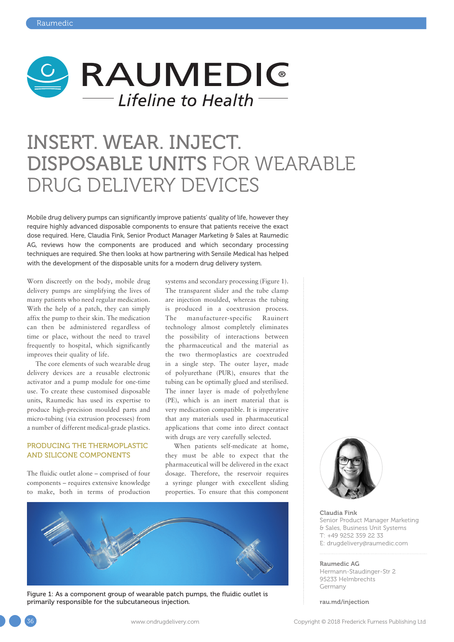

# INSERT. WEAR. INJECT. DISPOSABLE UNITS FOR WEARABLE DRUG DELIVERY DEVICES

Mobile drug delivery pumps can significantly improve patients' quality of life, however they require highly advanced disposable components to ensure that patients receive the exact dose required. Here, Claudia Fink, Senior Product Manager Marketing & Sales at Raumedic AG, reviews how the components are produced and which secondary processing techniques are required. She then looks at how partnering with Sensile Medical has helped with the development of the disposable units for a modern drug delivery system.

Worn discreetly on the body, mobile drug delivery pumps are simplifying the lives of many patients who need regular medication. With the help of a patch, they can simply affix the pump to their skin. The medication can then be administered regardless of time or place, without the need to travel frequently to hospital, which significantly improves their quality of life.

The core elements of such wearable drug delivery devices are a reusable electronic activator and a pump module for one-time use. To create these customised disposable units, Raumedic has used its expertise to produce high-precision moulded parts and micro-tubing (via extrusion processes) from a number of different medical-grade plastics.

# PRODUCING THE THERMOPLASTIC AND SILICONE COMPONENTS

The fluidic outlet alone – comprised of four components – requires extensive knowledge to make, both in terms of production systems and secondary processing (Figure 1). The transparent slider and the tube clamp are injection moulded, whereas the tubing is produced in a coextrusion process. The manufacturer-specific Rauinert technology almost completely eliminates the possibility of interactions between the pharmaceutical and the material as the two thermoplastics are coextruded in a single step. The outer layer, made of polyurethane (PUR), ensures that the tubing can be optimally glued and sterilised. The inner layer is made of polyethylene (PE), which is an inert material that is very medication compatible. It is imperative that any materials used in pharmaceutical applications that come into direct contact with drugs are very carefully selected.

When patients self-medicate at home, they must be able to expect that the pharmaceutical will be delivered in the exact dosage. Therefore, the reservoir requires a syringe plunger with execellent sliding properties. To ensure that this component



Figure 1: As a component group of wearable patch pumps, the fluidic outlet is primarily responsible for the subcutaneous injection.



Claudia Fink Senior Product Manager Marketing & Sales, Business Unit Systems T: +49 9252 359 22 33 E: [drugdelivery@raumedic.com](mailto:drugdelivery@raumedic.com)

#### Raumedic AG

Hermann-Staudinger-Str 2 95233 Helmbrechts Germany

[rau.md/injection](http://rau.md/injection)